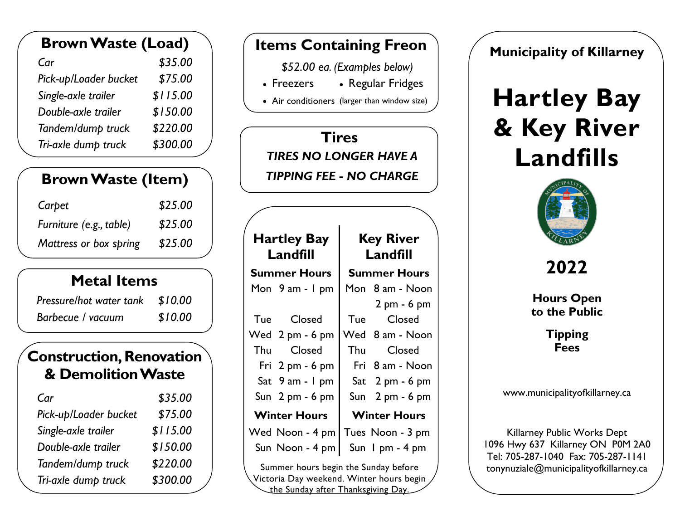| <b>Brown Waste (Load)</b> |          |  |
|---------------------------|----------|--|
| Car                       | \$35.00  |  |
| Pick-up/Loader bucket     | \$75.00  |  |
| Single-axle trailer       | \$115.00 |  |
| Double-axle trailer       | \$150.00 |  |
| Tandem/dump truck         | \$220.00 |  |
| Tri-axle dump truck       | \$300.00 |  |

## **Brown Waste (Item)**

| Carpet                  | \$25.00 |
|-------------------------|---------|
| Furniture (e.g., table) | \$25.00 |
| Mattress or box spring  | \$25.00 |

## **Metal Items**

| Pressure/hot water tank \$10.00 |         |
|---------------------------------|---------|
| Barbecue / vacuum               | \$10.00 |

#### **Construction, Renovation & DemolitionWaste**

| Car                   | \$35.00  |
|-----------------------|----------|
| Pick-up/Loader bucket | \$75.00  |
| Single-axle trailer   | \$115.00 |
| Double-axle trailer   | \$150.00 |
| Tandem/dump truck     | \$220.00 |
| Tri-axle dump truck   | \$300.00 |

#### **Items Containing Freon**

 *\$52.00 ea. (Examples below)* 

- Freezers Freezers • Regular Fridges
- Air conditioners (larger than window size)

## *TIRES NO LONGER HAVE A* **Tires**  *TIPPING FEE - NO CHARGE*

| <b>Hartley Bay</b><br>Landfill       |                                   | <b>Key River</b><br>Landfill |                               |  |
|--------------------------------------|-----------------------------------|------------------------------|-------------------------------|--|
| <b>Summer Hours</b>                  |                                   |                              | <b>Summer Hours</b>           |  |
|                                      | Mon 9 am - I pm                   |                              | Mon 8 am - Noon               |  |
|                                      |                                   |                              | $2 \text{ pm} - 6 \text{ pm}$ |  |
|                                      | Tue Closed                        |                              | Tue Closed                    |  |
|                                      | Wed 2 pm - 6 pm                   |                              | Wed 8 am - Noon               |  |
|                                      | Thu Closed                        |                              | Thu Closed                    |  |
|                                      | Fri $2 \text{ pm} - 6 \text{ pm}$ |                              | Fri 8 am - Noon               |  |
|                                      | Sat 9 am - 1 pm                   |                              | Sat $2$ pm - 6 pm             |  |
|                                      | Sun 2 pm - 6 pm                   |                              | Sun $2$ pm - 6 pm             |  |
|                                      | <b>Winter Hours</b>               | <b>Winter Hours</b>          |                               |  |
|                                      | Wed Noon - 4 pm                   |                              | Tues Noon - 3 pm              |  |
|                                      | Sun Noon - 4 pm                   |                              | Sun I pm - 4 pm               |  |
| Summar hours bogin the Sunday before |                                   |                              |                               |  |

 Summer hours begin the Sunday before Victoria Day weekend. Winter hours begin the Sunday after Thanksgiving Day.

**Municipality of Killarney** 

# **& Key River Landfills Hartley Bay**



**2022**

 **to the Public Hours Open**

> **Fees Tipping**

www.municipalityofkillarney.ca

 tonynuziale@municipalityofkillarney.ca Killarney Public Works Dept 1096 Hwy 637 Killarney ON P0M 2A0 Tel: 705-287-1040 Fax: 705-287-1141